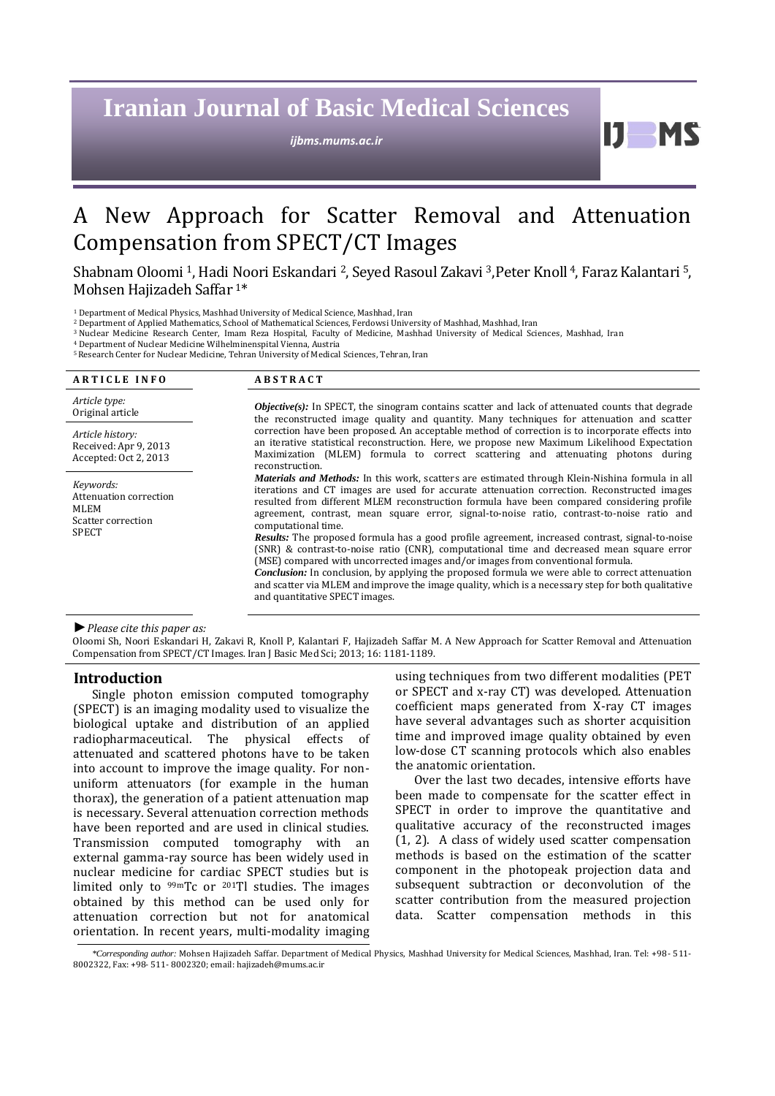# **Iranian Journal of Basic Medical Sciences**

*ijbms.mums.ac.ir*

H

## A New Approach for Scatter Removal and Attenuation Compensation from SPECT/CT Images

Shabnam Oloomi <sup>1</sup>, Hadi Noori Eskandari <sup>2</sup>, Seyed Rasoul Zakavi <sup>3</sup>,Peter Knoll <sup>4</sup>, Faraz Kalantari <sup>5</sup>, Mohsen Hajizadeh Saffar 1\*

<sup>1</sup> Department of Medical Physics, Mashhad University of Medical Science, Mashhad, Iran

<sup>2</sup> Department of Applied Mathematics, School of Mathematical Sciences, Ferdowsi University of Mashhad, Mashhad, Iran

<sup>3</sup> Nuclear Medicine Research Center, Imam Reza Hospital, Faculty of Medicine, Mashhad University of Medical Sciences, Mashhad, Iran

<sup>4</sup> Department of Nuclear Medicine Wilhelminenspital Vienna, Austria

<sup>5</sup>Research Center for Nuclear Medicine, Tehran University of Medical Sciences, Tehran, Iran

| <b>ARTICLE INFO</b>                                                               | <b>ABSTRACT</b>                                                                                                                                                                                                                                                                                                                                                                                                                                                                                                                          |
|-----------------------------------------------------------------------------------|------------------------------------------------------------------------------------------------------------------------------------------------------------------------------------------------------------------------------------------------------------------------------------------------------------------------------------------------------------------------------------------------------------------------------------------------------------------------------------------------------------------------------------------|
| Article type:<br>Original article                                                 | <b><i>Objective(s):</i></b> In SPECT, the sinogram contains scatter and lack of attenuated counts that degrade<br>the reconstructed image quality and quantity. Many techniques for attenuation and scatter<br>correction have been proposed. An acceptable method of correction is to incorporate effects into<br>an iterative statistical reconstruction. Here, we propose new Maximum Likelihood Expectation<br>Maximization (MLEM) formula to correct scattering and attenuating photons during<br>reconstruction.                   |
| Article history:<br>Received: Apr 9, 2013<br>Accepted: Oct 2, 2013                |                                                                                                                                                                                                                                                                                                                                                                                                                                                                                                                                          |
| Keywords:<br>Attenuation correction<br>MLEM<br>Scatter correction<br><b>SPECT</b> | <i>Materials and Methods:</i> In this work, scatters are estimated through Klein-Nishina formula in all<br>iterations and CT images are used for accurate attenuation correction. Reconstructed images<br>resulted from different MLEM reconstruction formula have been compared considering profile<br>agreement, contrast, mean square error, signal-to-noise ratio, contrast-to-noise ratio and<br>computational time.                                                                                                                |
|                                                                                   | <b>Results:</b> The proposed formula has a good profile agreement, increased contrast, signal-to-noise<br>(SNR) & contrast-to-noise ratio (CNR), computational time and decreased mean square error<br>(MSE) compared with uncorrected images and/or images from conventional formula.<br><b>Conclusion:</b> In conclusion, by applying the proposed formula we were able to correct attenuation<br>and scatter via MLEM and improve the image quality, which is a necessary step for both qualitative<br>and quantitative SPECT images. |

*►Please cite this paper as:*

Oloomi Sh, Noori Eskandari H, Zakavi R, Knoll P, Kalantari F, Hajizadeh Saffar M. A New Approach for Scatter Removal and Attenuation Compensation from SPECT/CT Images*.* Iran J Basic Med Sci; 2013; 16: 1181-1189.

#### **Introduction**

Single photon emission computed tomography (SPECT) is an imaging modality used to visualize the biological uptake and distribution of an applied radiopharmaceutical. The physical effects of attenuated and scattered photons have to be taken into account to improve the image quality. For nonuniform attenuators (for example in the human thorax), the generation of a patient attenuation map is necessary. Several attenuation correction methods have been reported and are used in clinical studies. Transmission computed tomography with an external gamma-ray source has been widely used in nuclear medicine for cardiac SPECT studies but is limited only to  $99mTc$  or  $201T$ l studies. The images obtained by this method can be used only for attenuation correction but not for anatomical orientation. In recent years, multi-modality imaging using techniques from two different modalities (PET or SPECT and x-ray CT) was developed. Attenuation coefficient maps generated from X-ray CT images have several advantages such as shorter acquisition time and improved image quality obtained by even low-dose CT scanning protocols which also enables the anatomic orientation.

Over the last two decades, intensive efforts have been made to compensate for the scatter effect in SPECT in order to improve the quantitative and qualitative accuracy of the reconstructed images [\(1,](#page-7-0) [2\)](#page-7-1). A class of widely used scatter compensation methods is based on the estimation of the scatter component in the photopeak projection data and subsequent subtraction or deconvolution of the scatter contribution from the measured projection data. Scatter compensation methods in this

*\*Corresponding author:* Mohsen Hajizadeh Saffar. Department of Medical Physics, Mashhad University for Medical Sciences, Mashhad, Iran. Tel: +98- 511- 8002322, Fax: +98- 511- 8002320; email: hajizadeh@mums.ac.ir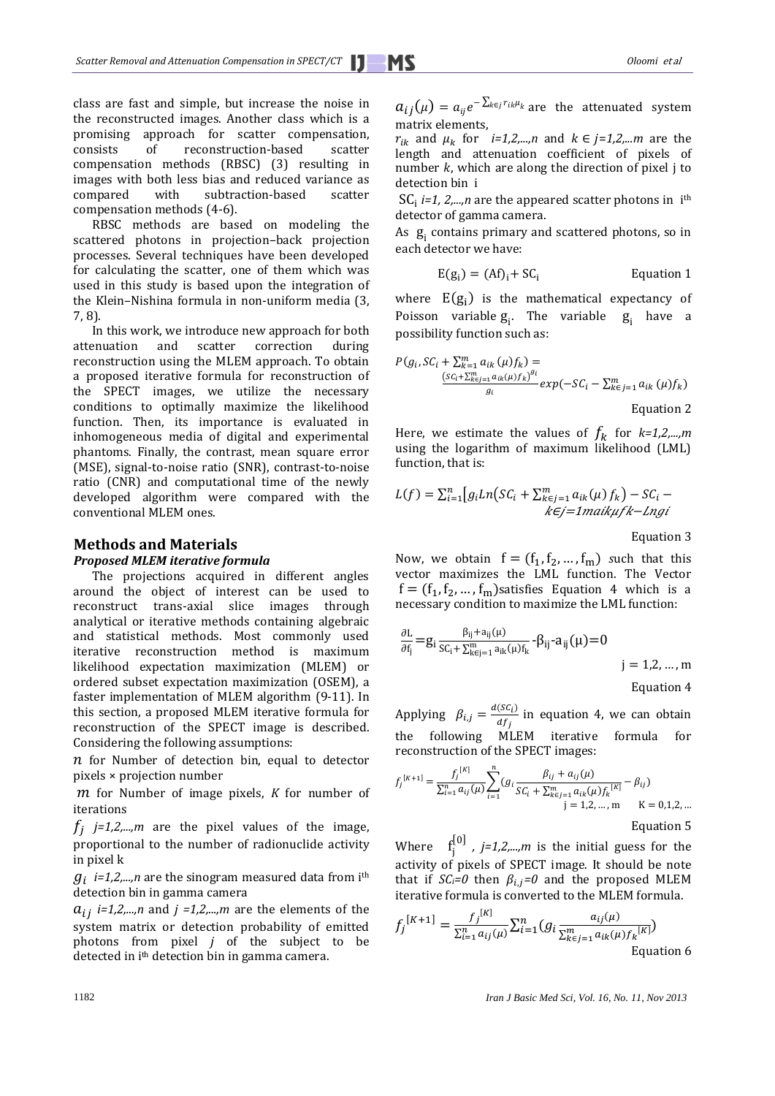class are fast and simple, but increase the noise in the reconstructed images. Another class which is a promising approach for scatter compensation, consists of reconstruction-based scatter compensation methods (RBSC) [\(3\)](#page-7-2) resulting in images with both less bias and reduced variance as compared with subtraction-based scatter compensation methods [\(4-6\)](#page-7-3).

RBSC methods are based on modeling the scattered photons in projection–back projection processes. Several techniques have been developed for calculating the scatter, one of them which was used in this study is based upon the integration of the Klein–Nishina formula in non-uniform media [\(3,](#page-7-2) [7,](#page-7-4) [8\)](#page-7-5).

In this work, we introduce new approach for both attenuation and scatter correction during reconstruction using the MLEM approach. To obtain a proposed iterative formula for reconstruction of the SPECT images, we utilize the necessary conditions to optimally maximize the likelihood function. Then, its importance is evaluated in inhomogeneous media of digital and experimental phantoms. Finally, the contrast, mean square error (MSE), signal-to-noise ratio (SNR), contrast-to-noise ratio (CNR) and computational time of the newly developed algorithm were compared with the conventional MLEM ones.

## **Methods and Materials**

## *Proposed MLEM iterative formula*

The projections acquired in different angles around the object of interest can be used to reconstruct trans-axial slice images through analytical or iterative methods containing algebraic and statistical methods. Most commonly used iterative reconstruction method is maximum likelihood expectation maximization (MLEM) or ordered subset expectation maximization (OSEM), a faster implementation of MLEM algorithm [\(9-11\)](#page-7-6). In this section, a proposed MLEM iterative formula for reconstruction of the SPECT image is described. Considering the following assumptions:

 $n$  for Number of detection bin, equal to detector pixels × projection number

*m* for Number of image pixels, *K* for number of iterations

 $f_i$  *j*=1,2,...,*m* are the pixel values of the image, proportional to the number of radionuclide activity in pixel k

 $g_i$  *i=1,2,...,n* are the sinogram measured data from i<sup>th</sup> detection bin in gamma camera

 $a_{ij}$  *i=1,2,...,n* and *j =1,2,...,m* are the elements of the system matrix or detection probability of emitted photons from pixel *j* of the subject to be detected in ith detection bin in gamma camera.

 $a_{ij}(\mu) = a_{ij}e^{-\sum_{k \in j} r_{ik}\mu_k}$  are the attenuated system matrix elements,

 $r_{ik}$  and  $\mu_k$  for *i=1,2,...,n* and  $k \in j=1,2,...m$  are the length and attenuation coefficient of pixels of number  $k$ , which are along the direction of pixel j to detection bin i

 $SC_i$  *i=1, 2,...,n* are the appeared scatter photons in i<sup>th</sup> detector of gamma camera.

As  $g_i$  contains primary and scattered photons, so in each detector we have:

$$
E(g_i) = (Af)_i + SC_i
$$
 Equation 1

where  $E(g_i)$  is the mathematical expectancy of Poisson variable  $g_i$ . The variable  $g_i$  have a possibility function such as:

$$
P(g_i, SC_i + \sum_{k=1}^{m} a_{ik} (\mu) f_k) =
$$
  

$$
\frac{(SC_i + \sum_{k=1}^{m} a_{ik} (\mu) f_k)^{g_i}}{g_i} exp(-SC_i - \sum_{k=1}^{m} a_{ik} (\mu) f_k)
$$
  
Equation 2

Here, we estimate the values of  $f_k$  for  $k=1,2,...,m$ using the logarithm of maximum likelihood (LML) function, that is:

$$
L(f) = \sum_{i=1}^{n} \left[ g_i L n \left( SC_i + \sum_{k \in j=1}^{m} a_{ik}(\mu) f_k \right) - SC_i - \right. \\
\left. \kappa \in j = 1 \right] \left. \max\{ \mu f k - L n g i \right\}
$$

Equation 3

Now, we obtain  $f = (f_1, f_2, ..., f_m)$  such that this vector maximizes the LML function. The Vector  $f = (f_1, f_2, ..., f_m)$ satisfies Equation 4 which is a necessary condition to maximize the LML function:

$$
\frac{\partial L}{\partial f_j} = g_i \frac{\beta_{ij} + a_{ij}(\mu)}{SC_i + \sum_{k \in j=1}^m a_{ik}(\mu) f_k} - \beta_{ij} - a_{ij}(\mu) = 0
$$
\n
$$
j = 1, 2, ..., m
$$
\nEquation 4

for Applying  $\beta_{i,j} = \frac{d(SC_i)}{dS_i}$  $\frac{\partial G_{ij}}{\partial f_j}$  in equation 4, we can obtain the following MLEM iterative formula reconstruction of the SPECT images:

$$
f_j^{[K+1]} = \frac{f_j^{[K]}}{\sum_{i=1}^n a_{ij}(\mu)} \sum_{i=1}^n (g_i \frac{\beta_{ij} + a_{ij}(\mu)}{SC_i + \sum_{k \in j=1}^m a_{ik}(\mu) f_k^{[K]}} - \beta_{ij})
$$
  
 j = 1,2,..., m   
Equation 5  
Equation 5

Where f  $\begin{array}{c} \left\{ 0 \right\} \\ \left\{ i \right\} \end{array}$ , *j=1,2,...,m* is the initial guess for the activity of pixels of SPECT image. It should be note that if  $SC_i = 0$  then  $\beta_{i,j} = 0$  and the proposed MLEM iterative formula is converted to the MLEM formula.

$$
f_j^{[K+1]} = \frac{f_j^{[K]}}{\sum_{i=1}^n a_{ij}(\mu)} \sum_{i=1}^n (g_i \frac{a_{ij}(\mu)}{\sum_{k \in j=1}^m a_{ik}(\mu) f_k^{[K]}})
$$
  
Equation 6

1182 *Iran J Basic Med Sci, Vol. 16, No. 11, Nov 2013*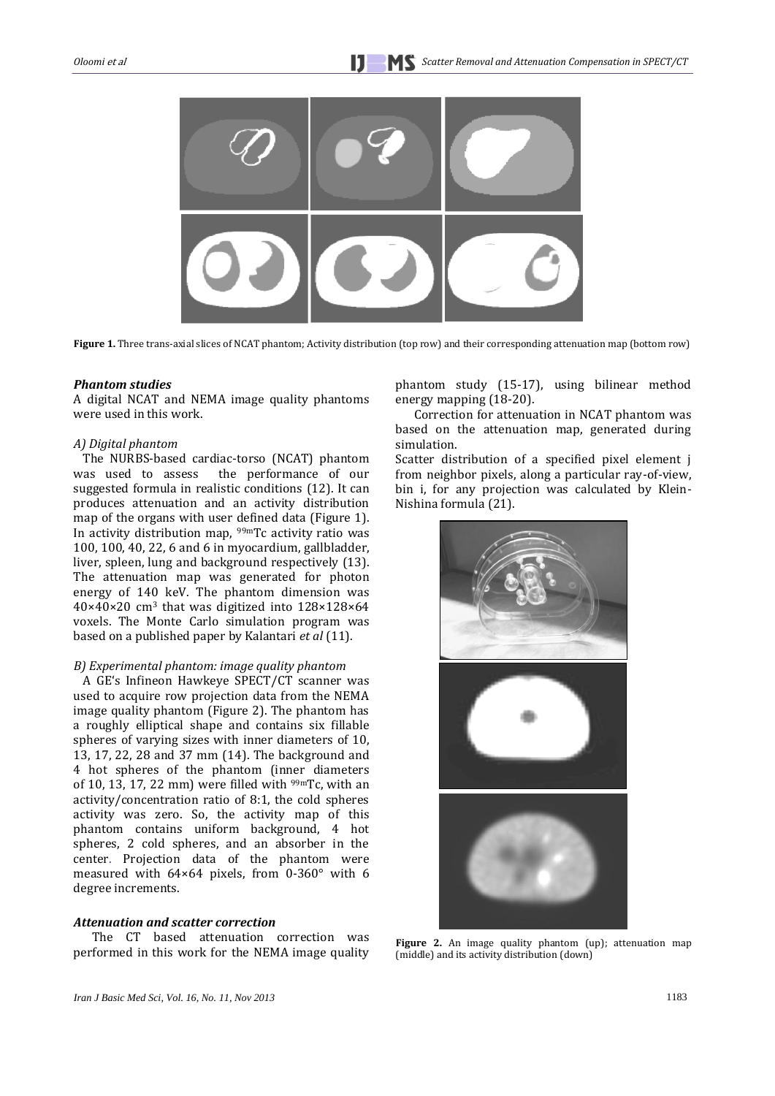

**Figure 1.** Three trans-axial slices of NCAT phantom; Activity distribution (top row) and their corresponding attenuation map (bottom row)

#### *Phantom studies*

A digital NCAT and NEMA image quality phantoms were used in this work.

#### *A) Digital phantom*

The NURBS-based cardiac-torso (NCAT) phantom was used to assess the performance of our suggested formula in realistic conditions [\(12\)](#page-7-7). It can produces attenuation and an activity distribution map of the organs with user defined data (Figure 1). In activity distribution map, 99mTc activity ratio was 100, 100, 40, 22, 6 and 6 in myocardium, gallbladder, liver, spleen, lung and background respectively [\(13\)](#page-7-8). The attenuation map was generated for photon energy of 140 keV. The phantom dimension was 40×40×20 cm<sup>3</sup> that was digitized into 128×128×64 voxels. The Monte Carlo simulation program was based on a published paper by Kalantari *et al* [\(11\)](#page-7-9).

#### *B) Experimental phantom: image quality phantom*

A GE's Infineon Hawkeye SPECT/CT scanner was used to acquire row projection data from the NEMA image quality phantom (Figure 2). The phantom has a roughly elliptical shape and contains six fillable spheres of varying sizes with inner diameters of 10, 13, 17, 22, 28 and 37 mm [\(14\)](#page-7-10). The background and 4 hot spheres of the phantom (inner diameters of 10, 13, 17, 22 mm) were filled with  $99m$ Tc, with an activity/concentration ratio of 8:1, the cold spheres activity was zero. So, the activity map of this phantom contains uniform background, 4 hot spheres, 2 cold spheres, and an absorber in the center. Projection data of the phantom were measured with 64×64 pixels, from 0-360° with 6 degree increments.

#### *Attenuation and scatter correction*

The CT based attenuation correction was performed in this work for the NEMA image quality phantom study [\(15-17\)](#page-7-11), using bilinear method energy mapping [\(18-20\)](#page-7-12).

Correction for attenuation in NCAT phantom was based on the attenuation map, generated during simulation.

Scatter distribution of a specified pixel element j from neighbor pixels, along a particular ray-of-view, bin i, for any projection was calculated by Klein-Nishina formula [\(21\)](#page-7-13).



**Figure 2.** An image quality phantom (up); attenuation map (middle) and its activity distribution (down)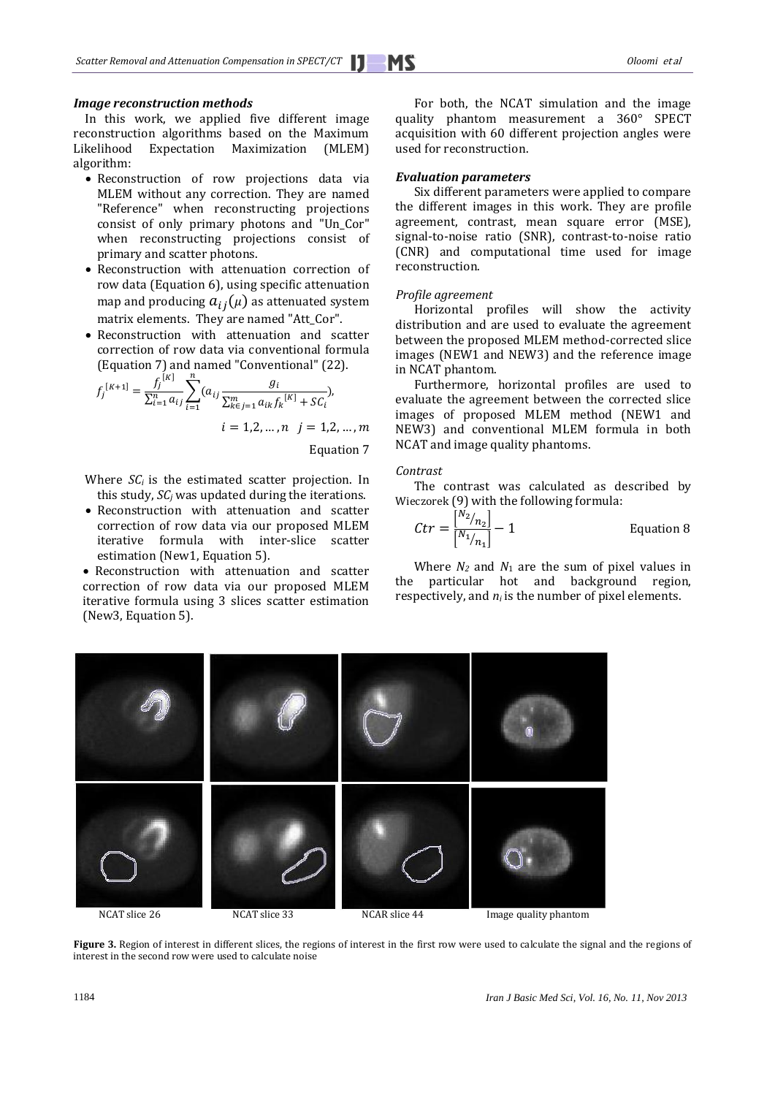#### *Image reconstruction methods*

 In this work, we applied five different image reconstruction algorithms based on the Maximum Likelihood Expectation Maximization (MLEM) algorithm:

- Reconstruction of row projections data via MLEM without any correction. They are named "Reference" when reconstructing projections consist of only primary photons and "Un\_Cor" when reconstructing projections consist of primary and scatter photons.
- Reconstruction with attenuation correction of row data (Equation 6), using specific attenuation map and producing  $a_{ij}(\mu)$  as attenuated system matrix elements. They are named "Att\_Cor".
- Reconstruction with attenuation and scatter correction of row data via conventional formula (Equation 7) and named "Conventional" [\(22\)](#page-7-14).

$$
f_j^{[K+1]} = \frac{f_j^{[K]}}{\sum_{i=1}^n a_{ij}} \sum_{i=1}^n (a_{ij} \frac{g_i}{\sum_{k \in j=1}^m a_{ik} f_k^{[K]} + S C_i}),
$$
  

$$
i = 1, 2, ..., n \quad j = 1, 2, ..., m
$$

Equation 7

- Where  $SC_i$  is the estimated scatter projection. In this study, *SC<sup>j</sup>* was updated during the iterations.
- Reconstruction with attenuation and scatter correction of row data via our proposed MLEM iterative formula with inter-slice scatter estimation (New1, Equation 5).
- Reconstruction with attenuation and scatter correction of row data via our proposed MLEM iterative formula using 3 slices scatter estimation (New3, Equation 5).

For both, the NCAT simulation and the image quality phantom measurement a 360° SPECT acquisition with 60 different projection angles were used for reconstruction.

#### *Evaluation parameters*

Six different parameters were applied to compare the different images in this work. They are profile agreement, contrast, mean square error (MSE), signal-to-noise ratio (SNR), contrast-to-noise ratio (CNR) and computational time used for image reconstruction.

#### *Profile agreement*

Horizontal profiles will show the activity distribution and are used to evaluate the agreement between the proposed MLEM method-corrected slice images (NEW1 and NEW3) and the reference image in NCAT phantom.

Furthermore, horizontal profiles are used to evaluate the agreement between the corrected slice images of proposed MLEM method (NEW1 and NEW3) and conventional MLEM formula in both NCAT and image quality phantoms.

#### *Contrast*

The contrast was calculated as described by Wieczorek [\(9\)](#page-7-6) with the following formula:

$$
Ctr = \frac{\binom{N_2}{n_2}}{\binom{N_1}{n_1}} - 1
$$
 Equation 8

Where  $N_2$  and  $N_1$  are the sum of pixel values in the particular hot and background region, respectively, and *n<sup>i</sup>* is the number of pixel elements.



Figure 3. Region of interest in different slices, the regions of interest in the first row were used to calculate the signal and the regions of interest in the second row were used to calculate noise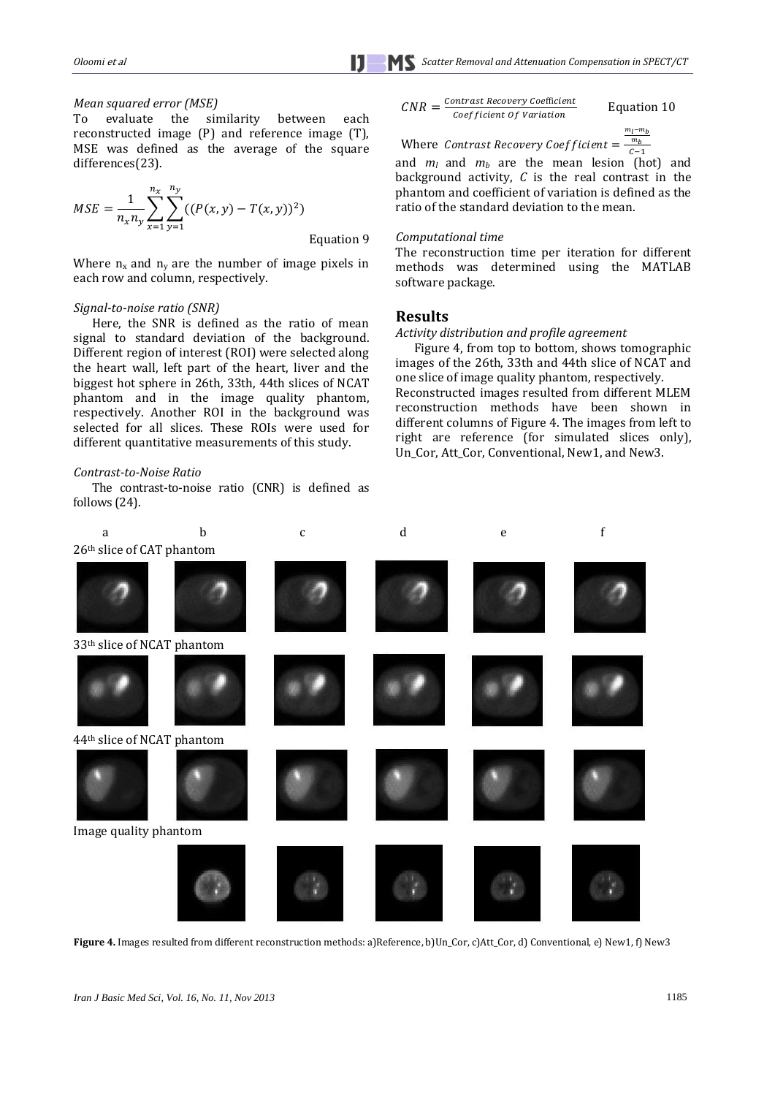#### *Mean squared error (MSE)*

To evaluate the similarity between each reconstructed image (P) and reference image (T), MSE was defined as the average of the square differences[\(23\)](#page-7-15).

$$
MSE = \frac{1}{n_x n_y} \sum_{x=1}^{n_x} \sum_{y=1}^{n_y} ((P(x, y) - T(x, y))^2)
$$
  
Equation 9

Where  $n_x$  and  $n_y$  are the number of image pixels in each row and column, respectively.

#### *Signal-to-noise ratio (SNR)*

Here, the SNR is defined as the ratio of mean signal to standard deviation of the background. Different region of interest (ROI) were selected along the heart wall, left part of the heart, liver and the biggest hot sphere in 26th, 33th, 44th slices of NCAT phantom and in the image quality phantom, respectively. Another ROI in the background was selected for all slices. These ROIs were used for different quantitative measurements of this study.

#### *Contrast-to-Noise Ratio*

The contrast-to-noise ratio (CNR) is defined as follows [\(24\)](#page-8-0).

$$
CNR = \frac{Contrast\,Recovery\,Coefficien}{Coefficient\,Of\,Variation}
$$

 $\frac{t}{2}$  Equation 10

Where Contrast Recovery Coefficient =  $-\frac{m}{C}$ m  $\mathcal C$ 

and *m<sup>l</sup>* and *m<sup>b</sup>* are the mean lesion (hot) and background activity, *C* is the real contrast in the phantom and coefficient of variation is defined as the ratio of the standard deviation to the mean.

#### *Computational time*

The reconstruction time per iteration for different methods was determined using the MATLAB software package.

#### **Results**

#### *Activity distribution and profile agreement*

Figure 4, from top to bottom, shows tomographic images of the 26th, 33th and 44th slice of NCAT and one slice of image quality phantom, respectively. Reconstructed images resulted from different MLEM reconstruction methods have been shown in different columns of Figure 4. The images from left to right are reference (for simulated slices only), Un\_Cor, Att\_Cor, Conventional, New1, and New3.



**Figure 4.** Images resulted from different reconstruction methods: a)Reference, b)Un\_Cor, c)Att\_Cor, d) Conventional, e) New1, f) New3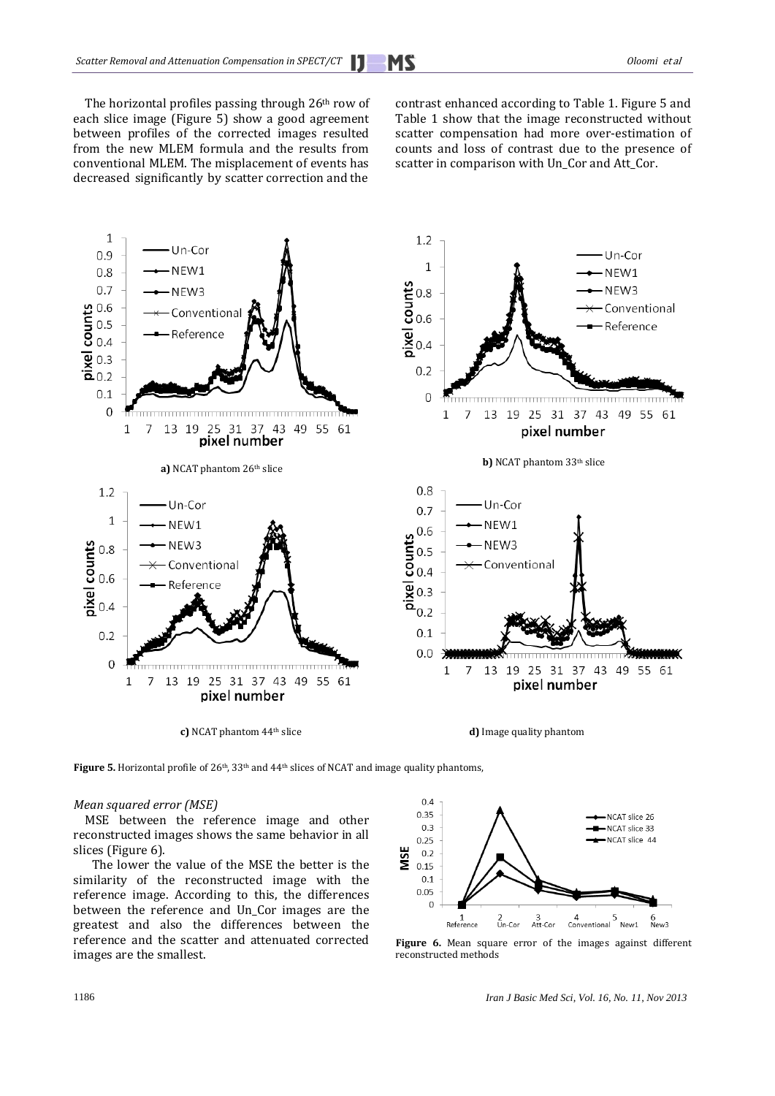The horizontal profiles passing through 26th row of each slice image (Figure 5) show a good agreement between profiles of the corrected images resulted from the new MLEM formula and the results from conventional MLEM. The misplacement of events has decreased significantly by scatter correction and the

contrast enhanced according to Table 1. Figure 5 and Table 1 show that the image reconstructed without scatter compensation had more over-estimation of counts and loss of contrast due to the presence of scatter in comparison with Un\_Cor and Att\_Cor.



**Figure 5.** Horizontal profile of 26<sup>th</sup>, 33<sup>th</sup> and 44<sup>th</sup> slices of NCAT and image quality phantoms,

#### *Mean squared error (MSE)*

 MSE between the reference image and other reconstructed images shows the same behavior in all slices (Figure 6).

The lower the value of the MSE the better is the similarity of the reconstructed image with the reference image. According to this, the differences between the reference and Un\_Cor images are the greatest and also the differences between the reference and the scatter and attenuated corrected images are the smallest.



Figure 6. Mean square error of the images against different reconstructed methods

1186 *Iran J Basic Med Sci, Vol. 16, No. 11, Nov 2013*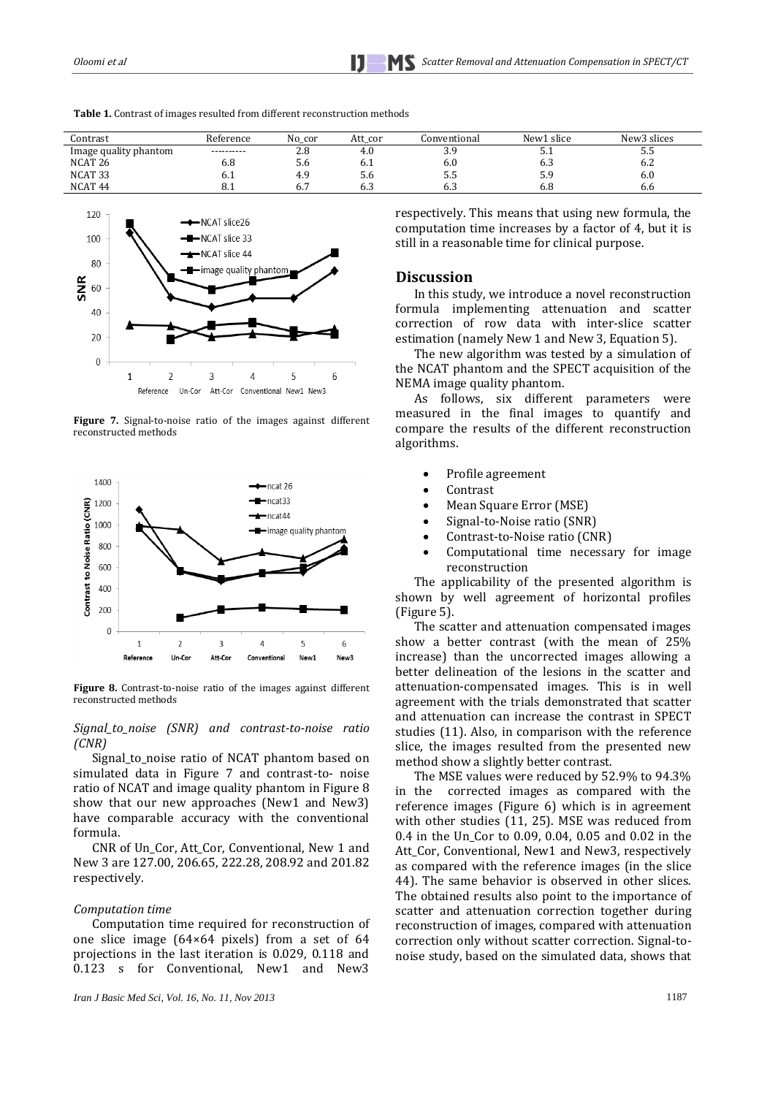

**Table 1.** Contrast of images resulted from different reconstruction methods

**Figure 7.** Signal-to-noise ratio of the images against different reconstructed methods



**Figure 8.** Contrast-to-noise ratio of the images against different reconstructed methods

*Signal\_to\_noise (SNR) and contrast-to-noise ratio (CNR)*

Signal\_to\_noise ratio of NCAT phantom based on simulated data in Figure 7 and contrast-to- noise ratio of NCAT and image quality phantom in Figure 8 show that our new approaches (New1 and New3) have comparable accuracy with the conventional formula.

CNR of Un\_Cor, Att\_Cor, Conventional, New 1 and New 3 are 127.00, 206.65, 222.28, 208.92 and 201.82 respectively.

#### *Computation time*

Computation time required for reconstruction of one slice image (64×64 pixels) from a set of 64 projections in the last iteration is 0.029, 0.118 and 0.123 s for Conventional, New1 and New3 respectively. This means that using new formula, the computation time increases by a factor of 4, but it is still in a reasonable time for clinical purpose.

## **Discussion**

Contrast Reference No\_cor Att\_cor Conventional New1 slice New3 slices 1 Image quality phantom ---------- 2.8 4.0 3.9 5.1 5.5<br>NCAT 26 6.8 5.6 6.1 6.0 6.3 6.2

> In this study, we introduce a novel reconstruction formula implementing attenuation and scatter correction of row data with inter-slice scatter estimation (namely New 1 and New 3, Equation 5).

> The new algorithm was tested by a simulation of the NCAT phantom and the SPECT acquisition of the NEMA image quality phantom.

> As follows, six different parameters were measured in the final images to quantify and compare the results of the different reconstruction algorithms.

- Profile agreement
- Contrast
- Mean Square Error (MSE)
- Signal-to-Noise ratio (SNR)
- Contrast-to-Noise ratio (CNR)
- Computational time necessary for image reconstruction

The applicability of the presented algorithm is shown by well agreement of horizontal profiles (Figure 5).

The scatter and attenuation compensated images show a better contrast (with the mean of 25% increase) than the uncorrected images allowing a better delineation of the lesions in the scatter and attenuation-compensated images. This is in well agreement with the trials demonstrated that scatter and attenuation can increase the contrast in SPECT studies [\(11\)](#page-7-9). Also, in comparison with the reference slice, the images resulted from the presented new method show a slightly better contrast.

The MSE values were reduced by 52.9% to 94.3% in the corrected images as compared with the reference images (Figure 6) which is in agreement with other studies [\(11,](#page-7-9) [25\)](#page-8-1). MSE was reduced from 0.4 in the Un\_Cor to 0.09, 0.04, 0.05 and 0.02 in the Att\_Cor, Conventional, New1 and New3, respectively as compared with the reference images (in the slice 44). The same behavior is observed in other slices. The obtained results also point to the importance of scatter and attenuation correction together during reconstruction of images, compared with attenuation correction only without scatter correction. Signal-tonoise study, based on the simulated data, shows that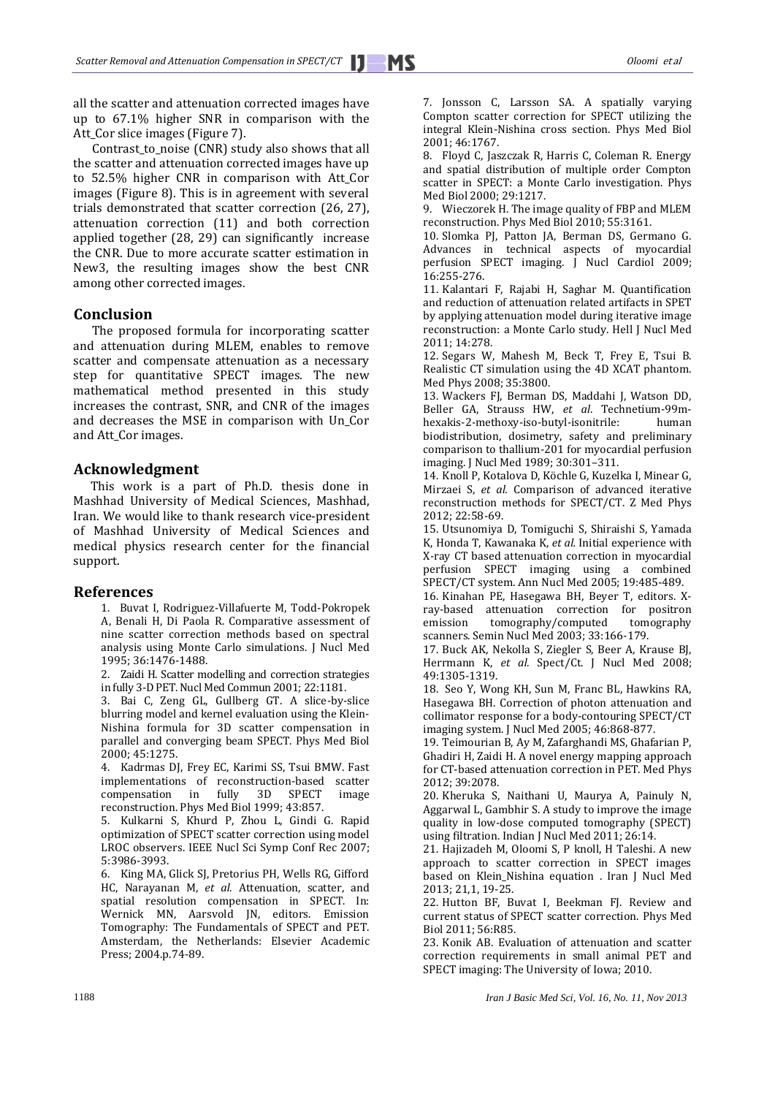all the scatter and attenuation corrected images have up to 67.1% higher SNR in comparison with the Att\_Cor slice images (Figure 7).

Contrast\_to\_noise (CNR) study also shows that all the scatter and attenuation corrected images have up to 52.5% higher CNR in comparison with Att\_Cor images (Figure 8). This is in agreement with several trials demonstrated that scatter correction [\(26,](#page-8-2) [27\)](#page-8-3), attenuation correction [\(11\)](#page-7-9) and both correction applied together [\(28,](#page-8-4) [29\)](#page-8-5) can significantly increase the CNR. Due to more accurate scatter estimation in New3, the resulting images show the best CNR among other corrected images.

## **Conclusion**

The proposed formula for incorporating scatter and attenuation during MLEM, enables to remove scatter and compensate attenuation as a necessary step for quantitative SPECT images. The new mathematical method presented in this study increases the contrast, SNR, and CNR of the images and decreases the MSE in comparison with Un\_Cor and Att\_Cor images.

## **Acknowledgment**

This work is a part of Ph.D. thesis done in Mashhad University of Medical Sciences, Mashhad, Iran. We would like to thank research vice-president of Mashhad University of Medical Sciences and medical physics research center for the financial support.

#### <span id="page-7-0"></span>**References**

1. Buvat I, Rodriguez-Villafuerte M, Todd-Pokropek A, Benali H, Di Paola R. Comparative assessment of nine scatter correction methods based on spectral analysis using Monte Carlo simulations. J Nucl Med 1995; 36:1476-4188.

<span id="page-7-1"></span>2. Zaidi H. Scatter modelling and correction strategies in fully 3-D PET. Nucl Med Commun 2001; 22:1181.

<span id="page-7-2"></span>3. Bai C, Zeng GL, Gullberg GT. A slice-by-slice blurring model and kernel evaluation using the Klein-Nishina formula for 3D scatter compensation in parallel and converging beam SPECT. Phys Med Biol 2000; 45:1275.

<span id="page-7-3"></span>4. Kadrmas DJ, Frey EC, Karimi SS, Tsui BMW. Fast implementations of reconstruction-based scatter compensation in fully 3D SPECT image reconstruction. Phys Med Biol 1999; 43:857.

5. Kulkarni S, Khurd P, Zhou L, Gindi G. Rapid optimization of SPECT scatter correction using model LROC observers. IEEE Nucl Sci Symp Conf Rec 2007; 5:3986-3993.

6. King MA, Glick SJ, Pretorius PH, Wells RG, Gifford HC, Narayanan M, *et al.* Attenuation, scatter, and spatial resolution compensation in SPECT. In: Wernick MN, Aarsvold JN, editors. Emission Tomography: The Fundamentals of SPECT and PET. Amsterdam, the Netherlands: Elsevier Academic Press; 2004.p.74-89.

<span id="page-7-4"></span>7. Jonsson C, Larsson SA. A spatially varying Compton scatter correction for SPECT utilizing the integral Klein-Nishina cross section. Phys Med Biol 2001; 46:1767.

<span id="page-7-5"></span>8. Floyd C, Jaszczak R, Harris C, Coleman R. Energy and spatial distribution of multiple order Compton scatter in SPECT: a Monte Carlo investigation. Phys Med Biol 2000; 29:1217.

<span id="page-7-6"></span>9. Wieczorek H. The image quality of FBP and MLEM reconstruction. Phys Med Biol 2010; 55:3161.

10. Slomka PJ, Patton JA, Berman DS, Germano G. Advances in technical aspects of myocardial perfusion SPECT imaging. J Nucl Cardiol 2009; 16:255-276.

<span id="page-7-9"></span>11. Kalantari F, Rajabi H, Saghar M. Quantification and reduction of attenuation related artifacts in SPET by applying attenuation model during iterative image reconstruction: a Monte Carlo study. Hell J Nucl Med 2011; 14:278.

<span id="page-7-7"></span>12. Segars W, Mahesh M, Beck T, Frey E, Tsui B. Realistic CT simulation using the 4D XCAT phantom. Med Phys 2008; 35:3800.

<span id="page-7-8"></span>13. Wackers FJ, Berman DS, Maddahi J, Watson DD, Beller GA, Strauss HW, *et al*. Technetium-99mhexakis-2-methoxy-iso-butyl-isonitrile: human biodistribution, dosimetry, safety and preliminary comparison to thallium-201 for myocardial perfusion imaging. J Nucl Med 1989; 30:301–311.

<span id="page-7-10"></span>14. Knoll P, Kotalova D, Köchle G, Kuzelka I, Minear G, Mirzaei S, *et al.* Comparison of advanced iterative reconstruction methods for SPECT/CT. Z Med Phys 2012; 22:58-69.

<span id="page-7-11"></span>15. Utsunomiya D, Tomiguchi S, Shiraishi S, Yamada K, Honda T, Kawanaka K, *et al.* Initial experience with X-ray CT based attenuation correction in myocardial perfusion SPECT imaging using a combined SPECT/CT system. Ann Nucl Med 2005; 19:485-489.

16. Kinahan PE, Hasegawa BH, Beyer T, editors. Xray-based attenuation correction for positron emission tomography/computed tomography scanners. Semin Nucl Med 2003; 33:166-179.

17. Buck AK, Nekolla S, Ziegler S, Beer A, Krause BJ, Herrmann K, *et al.* Spect/Ct. J Nucl Med 2008; 49:1305-1319.

<span id="page-7-12"></span>18. Seo Y, Wong KH, Sun M, Franc BL, Hawkins RA, Hasegawa BH. Correction of photon attenuation and collimator response for a body-contouring SPECT/CT imaging system. J Nucl Med 2005; 46:868-877.

19. Teimourian B, Ay M, Zafarghandi MS, Ghafarian P, Ghadiri H, Zaidi H. A novel energy mapping approach for CT-based attenuation correction in PET. Med Phys 2012; 39:2078.

20. Kheruka S, Naithani U, Maurya A, Painuly N, Aggarwal L, Gambhir S. A study to improve the image quality in low-dose computed tomography (SPECT) using filtration. Indian J Nucl Med 2011; 26:14.

<span id="page-7-13"></span>21. Hajizadeh M, Oloomi S, P knoll, H Taleshi. A new approach to scatter correction in SPECT images based on Klein\_Nishina equation . Iran J Nucl Med 2013; 21,1, 19-25.

<span id="page-7-14"></span>22. Hutton BF, Buvat I, Beekman FJ. Review and current status of SPECT scatter correction. Phys Med Biol 2011; 56:R85.

<span id="page-7-15"></span>23. Konik AB. Evaluation of attenuation and scatter correction requirements in small animal PET and SPECT imaging: The University of Iowa; 2010.